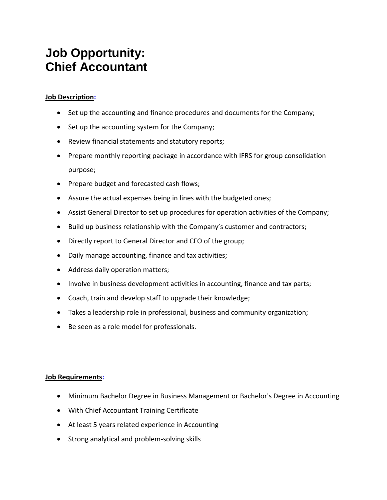## **Job Opportunity: Chief Accountant**

## **Job Description:**

- Set up the accounting and finance procedures and documents for the Company;
- Set up the accounting system for the Company;
- Review financial statements and statutory reports;
- Prepare monthly reporting package in accordance with IFRS for group consolidation purpose;
- Prepare budget and forecasted cash flows;
- Assure the actual expenses being in lines with the budgeted ones;
- Assist General Director to set up procedures for operation activities of the Company;
- Build up business relationship with the Company's customer and contractors;
- Directly report to General Director and CFO of the group;
- Daily manage accounting, finance and tax activities;
- Address daily operation matters;
- Involve in business development activities in accounting, finance and tax parts;
- Coach, train and develop staff to upgrade their knowledge;
- Takes a leadership role in professional, business and community organization;
- Be seen as a role model for professionals.

## **Job Requirements:**

- Minimum Bachelor Degree in Business Management or Bachelor's Degree in Accounting
- With Chief Accountant Training Certificate
- At least 5 years related experience in Accounting
- Strong analytical and problem-solving skills